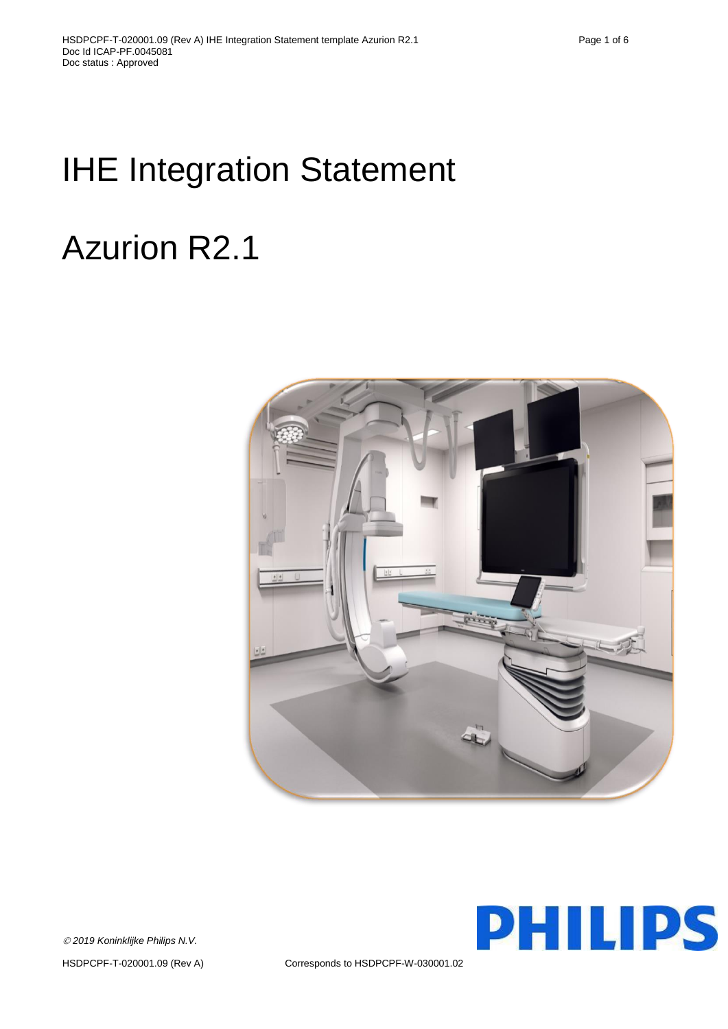# IHE Integration Statement

# Azurion R2.1



**PHILIPS** 

*2019 Koninklijke Philips N.V.*

HSDPCPF-T-020001.09 (Rev A) Corresponds to HSDPCPF-W-030001.02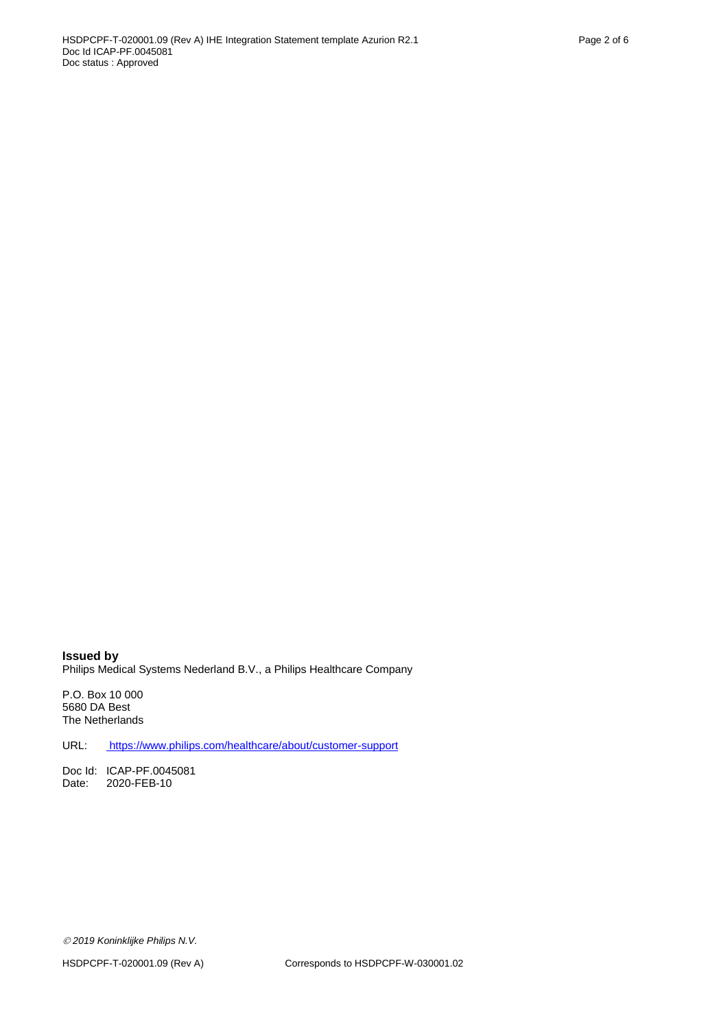**Issued by** Philips Medical Systems Nederland B.V., a Philips Healthcare Company

P.O. Box 10 000 5680 DA Best The Netherlands

URL: <https://www.philips.com/healthcare/about/customer-support>

Doc Id: ICAP-PF.0045081<br>Date: 2020-FEB-10 2020-FEB-10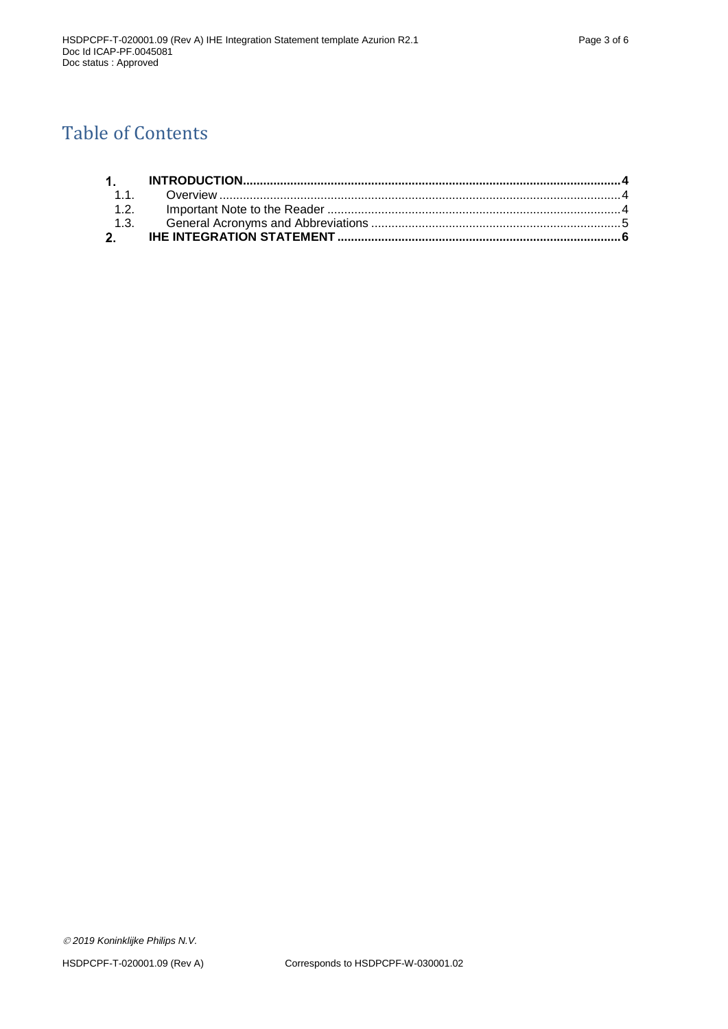# Table of Contents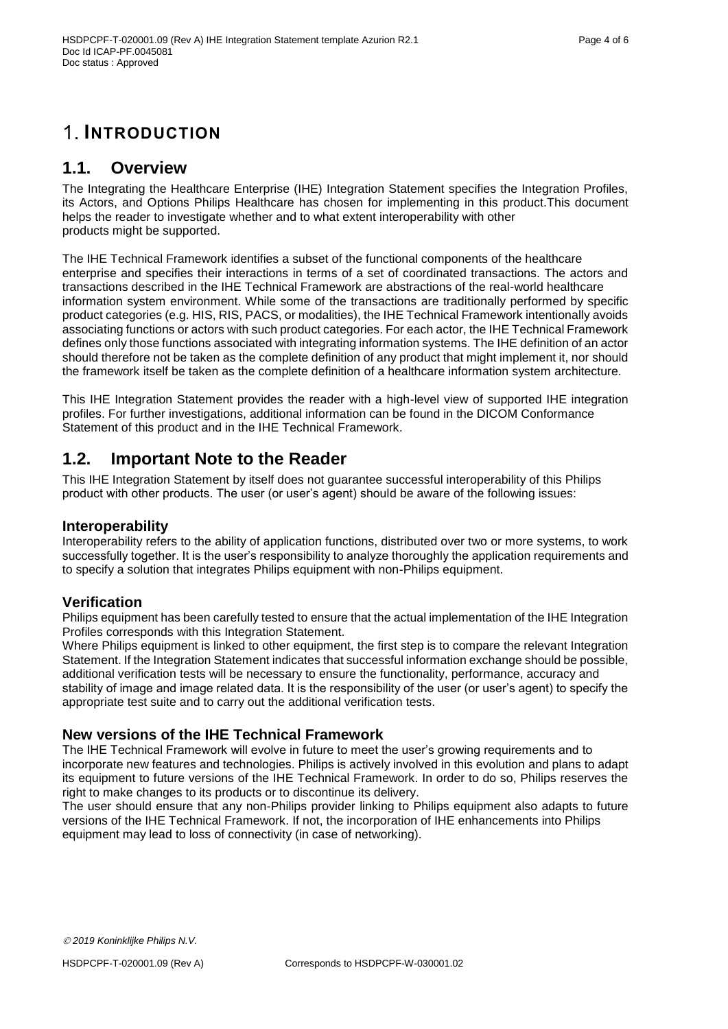## <span id="page-3-0"></span>**1. INTRODUCTION**

### <span id="page-3-1"></span>**1.1. Overview**

The Integrating the Healthcare Enterprise (IHE) Integration Statement specifies the Integration Profiles, its Actors, and Options Philips Healthcare has chosen for implementing in this product.This document helps the reader to investigate whether and to what extent interoperability with other products might be supported.

The IHE Technical Framework identifies a subset of the functional components of the healthcare enterprise and specifies their interactions in terms of a set of coordinated transactions. The actors and transactions described in the IHE Technical Framework are abstractions of the real-world healthcare information system environment. While some of the transactions are traditionally performed by specific product categories (e.g. HIS, RIS, PACS, or modalities), the IHE Technical Framework intentionally avoids associating functions or actors with such product categories. For each actor, the IHE Technical Framework defines only those functions associated with integrating information systems. The IHE definition of an actor should therefore not be taken as the complete definition of any product that might implement it, nor should the framework itself be taken as the complete definition of a healthcare information system architecture.

This IHE Integration Statement provides the reader with a high-level view of supported IHE integration profiles. For further investigations, additional information can be found in the DICOM Conformance Statement of this product and in the IHE Technical Framework.

## <span id="page-3-2"></span>**1.2. Important Note to the Reader**

This IHE Integration Statement by itself does not guarantee successful interoperability of this Philips product with other products. The user (or user's agent) should be aware of the following issues:

#### **Interoperability**

Interoperability refers to the ability of application functions, distributed over two or more systems, to work successfully together. It is the user's responsibility to analyze thoroughly the application requirements and to specify a solution that integrates Philips equipment with non-Philips equipment.

#### **Verification**

Philips equipment has been carefully tested to ensure that the actual implementation of the IHE Integration Profiles corresponds with this Integration Statement.

Where Philips equipment is linked to other equipment, the first step is to compare the relevant Integration Statement. If the Integration Statement indicates that successful information exchange should be possible, additional verification tests will be necessary to ensure the functionality, performance, accuracy and stability of image and image related data. It is the responsibility of the user (or user's agent) to specify the appropriate test suite and to carry out the additional verification tests.

#### **New versions of the IHE Technical Framework**

The IHE Technical Framework will evolve in future to meet the user's growing requirements and to incorporate new features and technologies. Philips is actively involved in this evolution and plans to adapt its equipment to future versions of the IHE Technical Framework. In order to do so, Philips reserves the right to make changes to its products or to discontinue its delivery.

The user should ensure that any non-Philips provider linking to Philips equipment also adapts to future versions of the IHE Technical Framework. If not, the incorporation of IHE enhancements into Philips equipment may lead to loss of connectivity (in case of networking).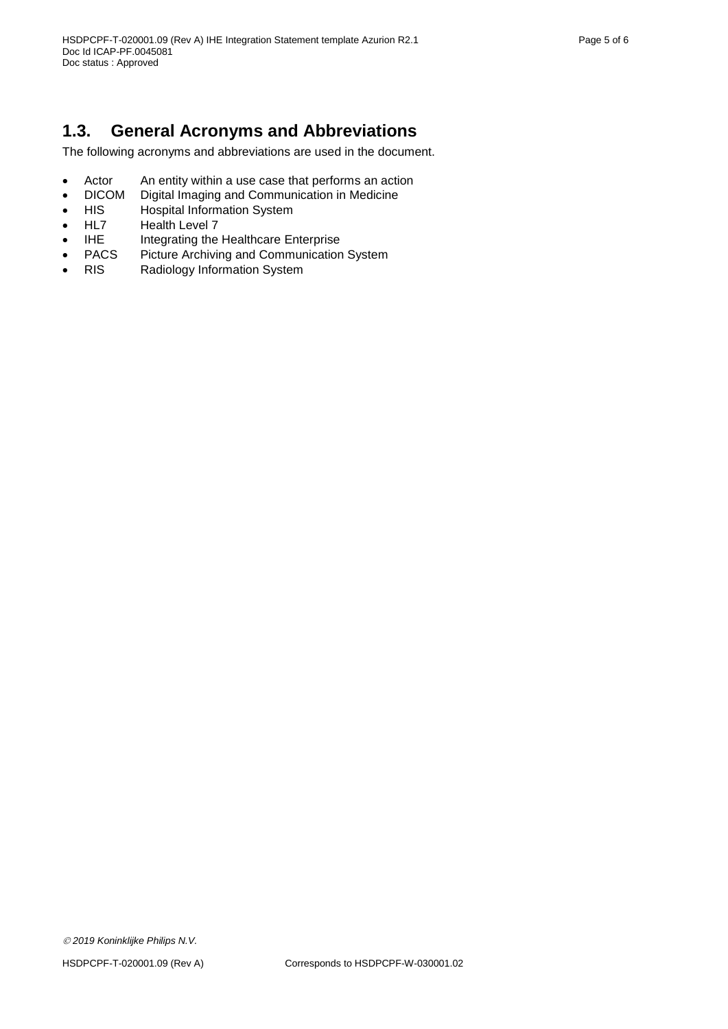## <span id="page-4-0"></span>**1.3. General Acronyms and Abbreviations**

The following acronyms and abbreviations are used in the document.

- Actor An entity within a use case that performs an action
- DICOM Digital Imaging and Communication in Medicine
- HIS Hospital Information System<br>HL7 Health Level 7
- Health Level 7
- IHE Integrating the Healthcare Enterprise<br>PACS Picture Archiving and Communication
- PACS Picture Archiving and Communication System
- RIS Radiology Information System